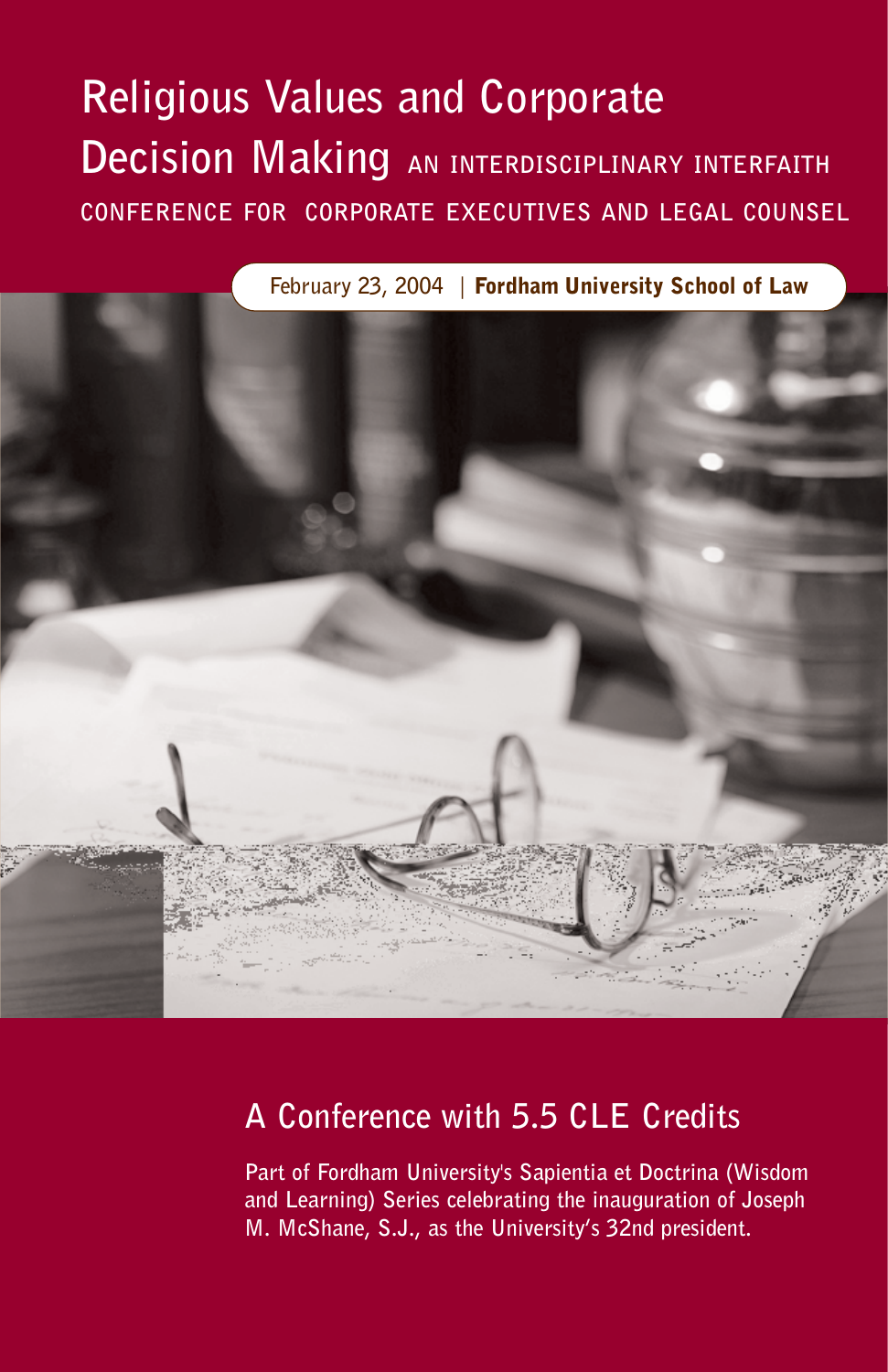## **Religious Values and Corporate Decision Making AN INTERDISCIPLINARY INTERFAITH CONFERENCE FOR CORPORATE EXECUTIVES AND LEGAL COUNSEL**

**February 23, 2004 |** Fordham University School of Law



## **A Conference with 5.5 CLE Credits**

**Part of Fordham University's Sapientia et Doctrina (Wisdom and Learning) Series celebrating the inauguration of Joseph M. McShane, S.J., as the University's 32nd president.**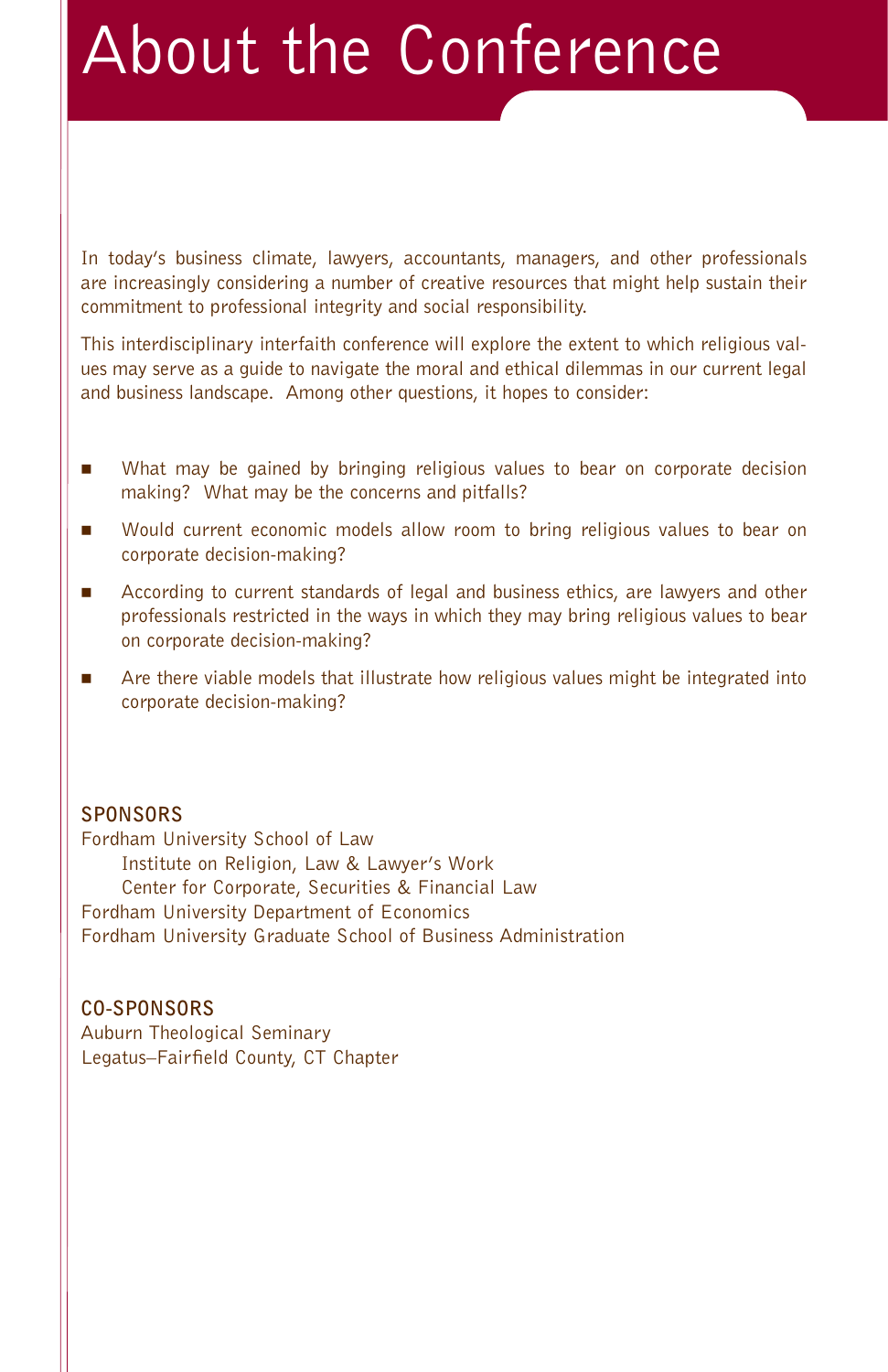# About the Conference

In today's business climate, lawyers, accountants, managers, and other professionals are increasingly considering a number of creative resources that might help sustain their commitment to professional integrity and social responsibility.

This interdisciplinary interfaith conference will explore the extent to which religious values may serve as a guide to navigate the moral and ethical dilemmas in our current legal and business landscape. Among other questions, it hopes to consider:

- - What may be gained by bringing religious values to bear on corporate decision making? What may be the concerns and pitfalls?
- - Would current economic models allow room to bring religious values to bear on corporate decision-making?
- - According to current standards of legal and business ethics, are lawyers and other professionals restricted in the ways in which they may bring religious values to bear on corporate decision-making?
- - Are there viable models that illustrate how religious values might be integrated into corporate decision-making?

#### **SPONSORS**

Fordham University School of Law Institute on Religion, Law & Lawyer's Work Center for Corporate, Securities & Financial Law Fordham University Department of Economics Fordham University Graduate School of Business Administration

#### **CO-SPONSORS**

Auburn Theological Seminary Legatus–Fairfield County, CT Chapter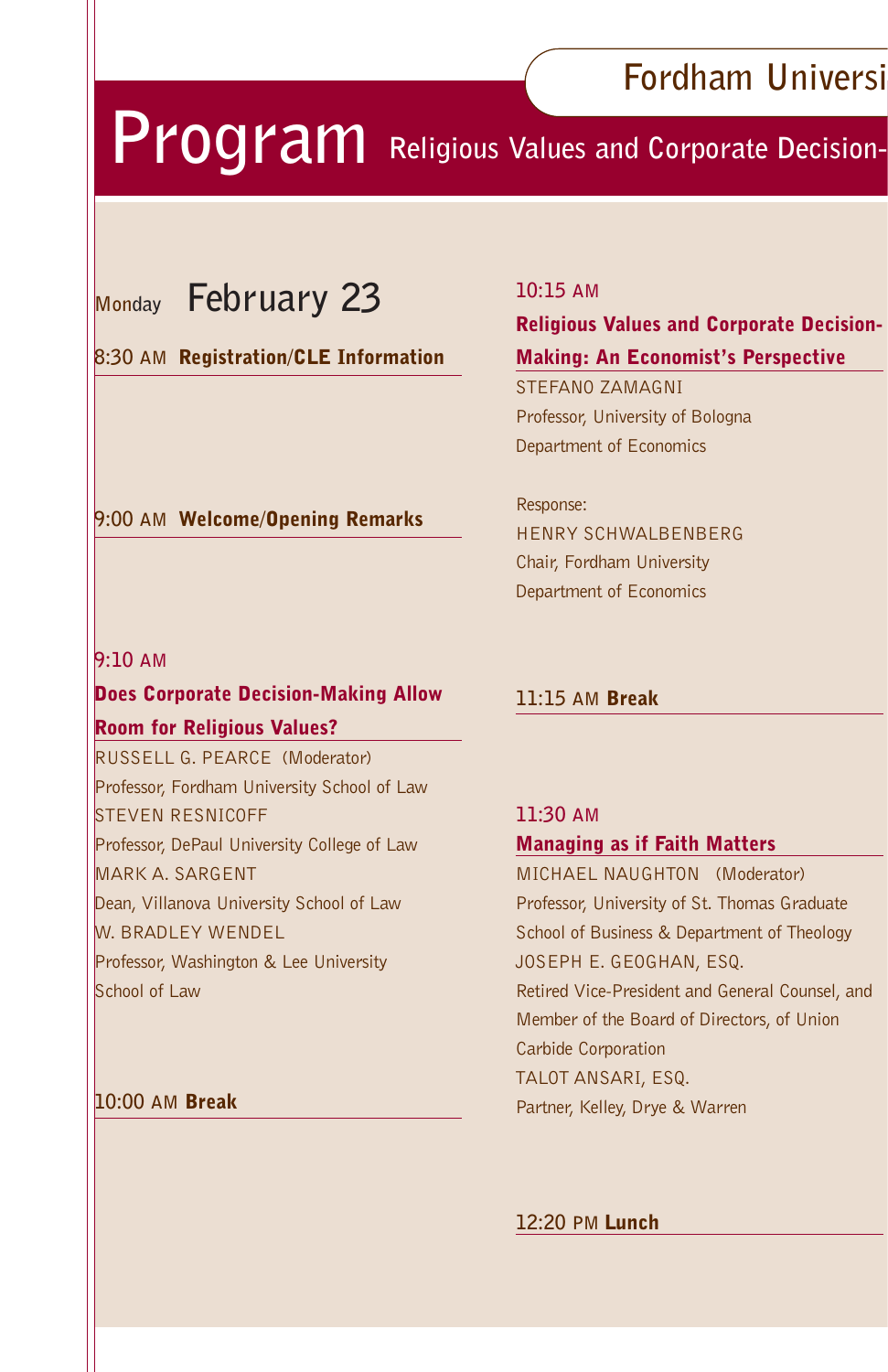## **Fordham Universi**

## **Program** Religious Values and Corporate Decision-

## **Monday February 23**

#### **8:30 AM** Registration/CLE Information

**9:00 AM** Welcome/Opening Remarks

#### **10:15 AM**

#### Religious Values and Corporate Decision-Making: An Economist's Perspective

STEFANO ZAMAGNI Professor, University of Bologna Department of Economics

#### Response: HENRY SCHWALBENBERG Chair, Fordham University Department of Economics

#### **9:10 AM**

#### Does Corporate Decision-Making Allow

#### Room for Religious Values?

RUSSELL G. PEARCE (Moderator) Professor, Fordham University School of Law STEVEN RESNICOFF Professor, DePaul University College of Law MARK A. SARGENT Dean, Villanova University School of Law W. BRADLEY WENDEL Professor, Washington & Lee University School of Law

#### **10:00 AM** Break

#### **11:15 AM** Break

#### **11:30 AM**  Managing as if Faith Matters

MICHAEL NAUGHTON (Moderator) Professor, University of St. Thomas Graduate School of Business & Department of Theology JOSEPH E. GEOGHAN, ESQ. Retired Vice-President and General Counsel, and Member of the Board of Directors, of Union Carbide Corporation TALOT ANSARI, ESQ. Partner, Kelley, Drye & Warren

#### **12:20 PM** Lunch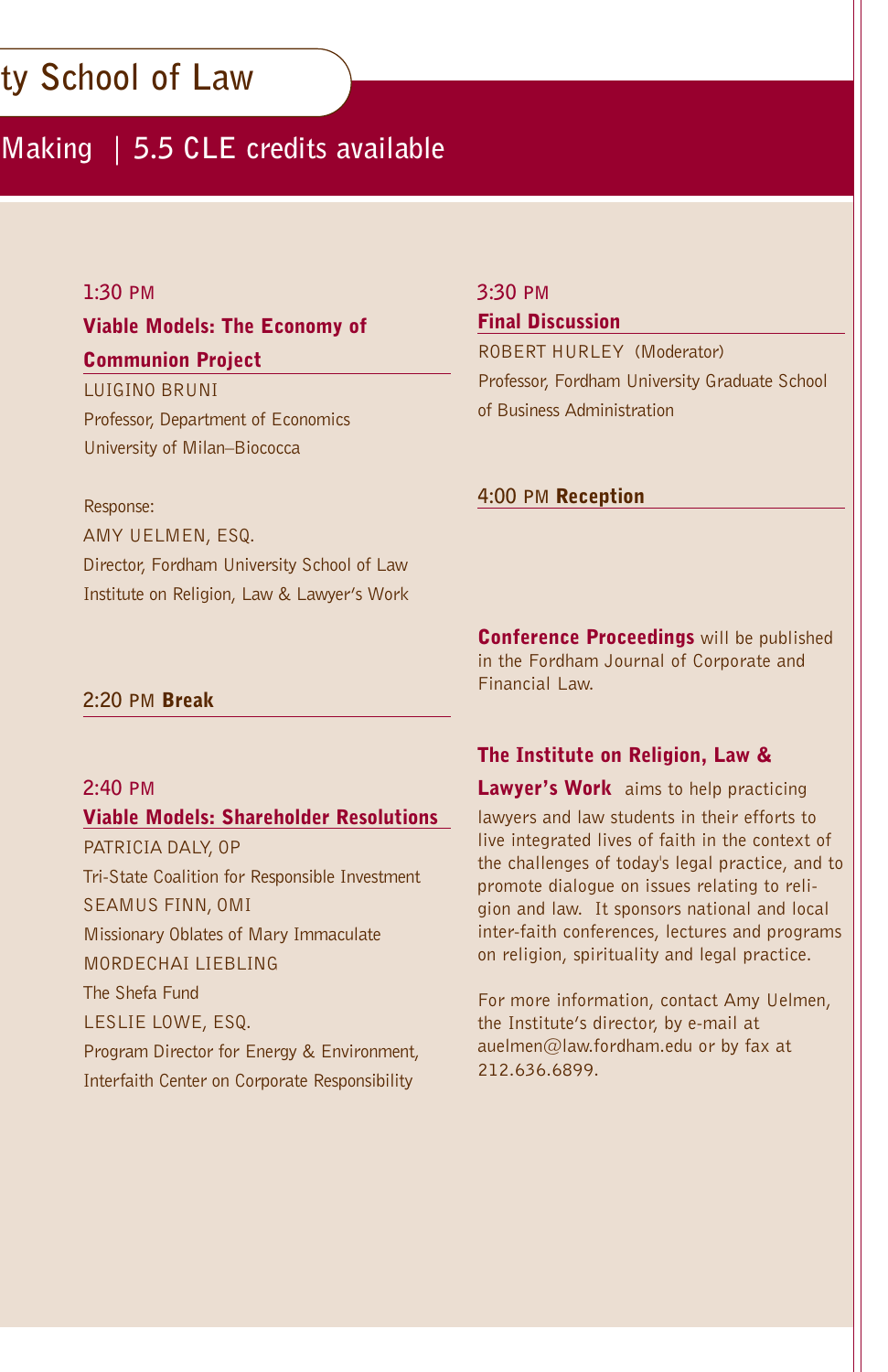## **ty School of Law**

## **Making | 5.5 CLE credits available**

#### **1:30 PM**

#### Viable Models: The Economy of Communion Project

LUIGINO BRUNI Professor, Department of Economics University of Milan–Biococca

#### **3:30 PM**

#### Final Discussion

ROBERT HURLEY (Moderator) Professor, Fordham University Graduate School of Business Administration

#### **4:00 PM** Reception

Response: AMY UELMEN, ESQ. Director, Fordham University School of Law Institute on Religion, Law & Lawyer's Work

> **Conference Proceedings** will be published in the Fordham Journal of Corporate and Financial Law.

#### **2:20 PM** Break

#### **2:40 PM**

#### Viable Models: Shareholder Resolutions

PATRICIA DALY, OP Tri-State Coalition for Responsible Investment SEAMUS FINN, OMI Missionary Oblates of Mary Immaculate MORDECHAI LIEBLING The Shefa Fund LESLIE LOWE, ESQ. Program Director for Energy & Environment, Interfaith Center on Corporate Responsibility

The Institute on Religion, Law &

Lawyer's Work aims to help practicing lawyers and law students in their efforts to live integrated lives of faith in the context of the challenges of today's legal practice, and to promote dialogue on issues relating to religion and law. It sponsors national and local inter-faith conferences, lectures and programs on religion, spirituality and legal practice.

For more information, contact Amy Uelmen, the Institute's director, by e-mail at auelmen@law.fordham.edu or by fax at 212.636.6899.